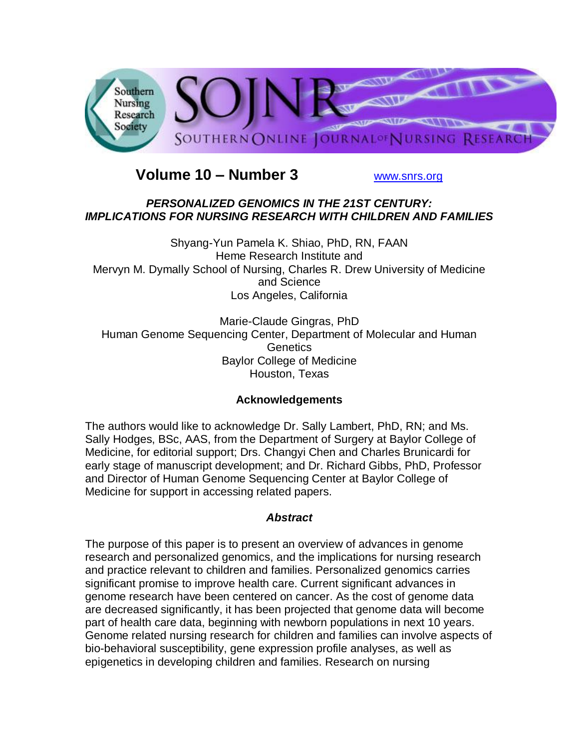

# **Volume 10 – Number 3** [www.snrs.org](http://www.snrs.org/)

## *PERSONALIZED GENOMICS IN THE 21ST CENTURY: IMPLICATIONS FOR NURSING RESEARCH WITH CHILDREN AND FAMILIES*

Shyang-Yun Pamela K. Shiao, PhD, RN, FAAN Heme Research Institute and Mervyn M. Dymally School of Nursing, Charles R. Drew University of Medicine and Science Los Angeles, California

Marie-Claude Gingras, PhD Human Genome Sequencing Center, Department of Molecular and Human **Genetics** Baylor College of Medicine Houston, Texas

# **Acknowledgements**

The authors would like to acknowledge Dr. Sally Lambert, PhD, RN; and Ms. Sally Hodges, BSc, AAS, from the Department of Surgery at Baylor College of Medicine, for editorial support; Drs. Changyi Chen and Charles Brunicardi for early stage of manuscript development; and Dr. Richard Gibbs, PhD, Professor and Director of Human Genome Sequencing Center at Baylor College of Medicine for support in accessing related papers.

# *Abstract*

The purpose of this paper is to present an overview of advances in genome research and personalized genomics, and the implications for nursing research and practice relevant to children and families. Personalized genomics carries significant promise to improve health care. Current significant advances in genome research have been centered on cancer. As the cost of genome data are decreased significantly, it has been projected that genome data will become part of health care data, beginning with newborn populations in next 10 years. Genome related nursing research for children and families can involve aspects of bio-behavioral susceptibility, gene expression profile analyses, as well as epigenetics in developing children and families. Research on nursing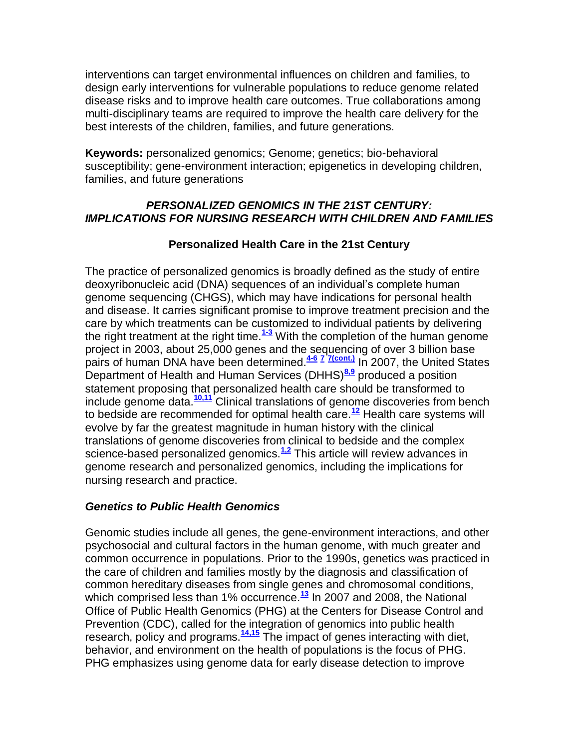interventions can target environmental influences on children and families, to design early interventions for vulnerable populations to reduce genome related disease risks and to improve health care outcomes. True collaborations among multi-disciplinary teams are required to improve the health care delivery for the best interests of the children, families, and future generations.

**Keywords:** personalized genomics; Genome; genetics; bio-behavioral susceptibility; gene-environment interaction; epigenetics in developing children, families, and future generations

## *PERSONALIZED GENOMICS IN THE 21ST CENTURY: IMPLICATIONS FOR NURSING RESEARCH WITH CHILDREN AND FAMILIES*

# **Personalized Health Care in the 21st Century**

The practice of personalized genomics is broadly defined as the study of entire deoxyribonucleic acid (DNA) sequences of an individual's complete human genome sequencing (CHGS), which may have indications for personal health and disease. It carries significant promise to improve treatment precision and the care by which treatments can be customized to individual patients by delivering the right treatment at the right time.**[1-3](http://snrs.org/publications/SOJNR_articles2/n)** With the completion of the human genome project in 2003, about 25,000 genes and the sequencing of over 3 billion base pairs of human DNA have been determined.**[4-6](http://snrs.org/publications/SOJNR_articles2/n) [7](http://snrs.org/publications/SOJNR_articles2/n) [7\(cont.\)](http://snrs.org/publications/SOJNR_articles2/n)** In 2007, the United States Department of Health and Human Services (DHHS)**[8,9](http://snrs.org/publications/SOJNR_articles2/n)** produced a position statement proposing that personalized health care should be transformed to include genome data.**[10,11](http://snrs.org/publications/SOJNR_articles2/n)** Clinical translations of genome discoveries from bench to bedside are recommended for optimal health care.**[12](http://snrs.org/publications/SOJNR_articles2/n)** Health care systems will evolve by far the greatest magnitude in human history with the clinical translations of genome discoveries from clinical to bedside and the complex science-based personalized genomics.**[1,2](http://snrs.org/publications/SOJNR_articles2/n)** This article will review advances in genome research and personalized genomics, including the implications for nursing research and practice.

#### *Genetics to Public Health Genomics*

Genomic studies include all genes, the gene-environment interactions, and other psychosocial and cultural factors in the human genome, with much greater and common occurrence in populations. Prior to the 1990s, genetics was practiced in the care of children and families mostly by the diagnosis and classification of common hereditary diseases from single genes and chromosomal conditions, which comprised less than 1% occurrence.**[13](http://snrs.org/publications/SOJNR_articles2/n)** In 2007 and 2008, the National Office of Public Health Genomics (PHG) at the Centers for Disease Control and Prevention (CDC), called for the integration of genomics into public health research, policy and programs.**[14,15](http://snrs.org/publications/SOJNR_articles2/n)** The impact of genes interacting with diet, behavior, and environment on the health of populations is the focus of PHG. PHG emphasizes using genome data for early disease detection to improve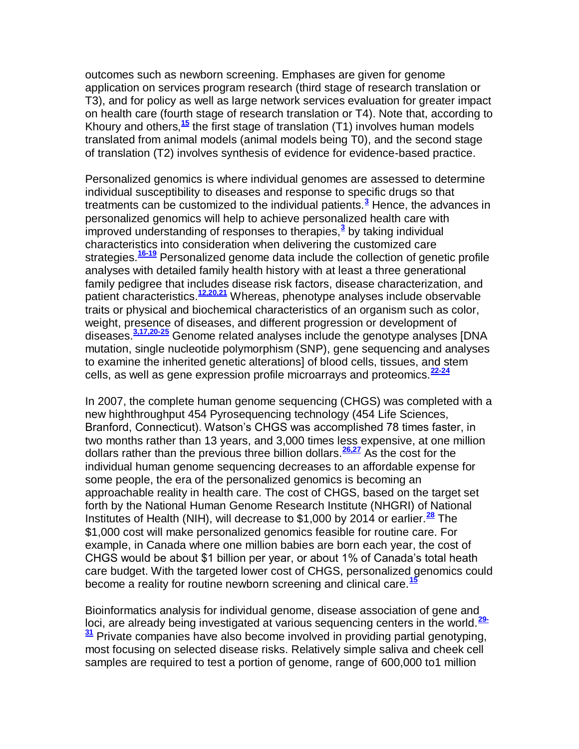outcomes such as newborn screening. Emphases are given for genome application on services program research (third stage of research translation or T3), and for policy as well as large network services evaluation for greater impact on health care (fourth stage of research translation or T4). Note that, according to Khoury and others,**[15](http://snrs.org/publications/SOJNR_articles2/n)** the first stage of translation (T1) involves human models translated from animal models (animal models being T0), and the second stage of translation (T2) involves synthesis of evidence for evidence-based practice.

Personalized genomics is where individual genomes are assessed to determine individual susceptibility to diseases and response to specific drugs so that treatments can be customized to the individual patients.**[3](http://snrs.org/publications/SOJNR_articles2/n)** Hence, the advances in personalized genomics will help to achieve personalized health care with improved understanding of responses to therapies,**[3](http://snrs.org/publications/SOJNR_articles2/n)** by taking individual characteristics into consideration when delivering the customized care strategies.**[16-19](http://snrs.org/publications/SOJNR_articles2/n)** Personalized genome data include the collection of genetic profile analyses with detailed family health history with at least a three generational family pedigree that includes disease risk factors, disease characterization, and patient characteristics.**[12,20,21](http://snrs.org/publications/SOJNR_articles2/n)** Whereas, phenotype analyses include observable traits or physical and biochemical characteristics of an organism such as color, weight, presence of diseases, and different progression or development of diseases.**[3,17,20-25](http://snrs.org/publications/SOJNR_articles2/n)** Genome related analyses include the genotype analyses [DNA mutation, single nucleotide polymorphism (SNP), gene sequencing and analyses to examine the inherited genetic alterations] of blood cells, tissues, and stem cells, as well as gene expression profile microarrays and proteomics.**[22-24](http://snrs.org/publications/SOJNR_articles2/n)**

In 2007, the complete human genome sequencing (CHGS) was completed with a new highthroughput 454 Pyrosequencing technology (454 Life Sciences, Branford, Connecticut). Watson's CHGS was accomplished 78 times faster, in two months rather than 13 years, and 3,000 times less expensive, at one million dollars rather than the previous three billion dollars.**[26,27](http://snrs.org/publications/SOJNR_articles2/n)** As the cost for the individual human genome sequencing decreases to an affordable expense for some people, the era of the personalized genomics is becoming an approachable reality in health care. The cost of CHGS, based on the target set forth by the National Human Genome Research Institute (NHGRI) of National Institutes of Health (NIH), will decrease to \$1,000 by 2014 or earlier.**[28](http://snrs.org/publications/SOJNR_articles2/n)** The \$1,000 cost will make personalized genomics feasible for routine care. For example, in Canada where one million babies are born each year, the cost of CHGS would be about \$1 billion per year, or about 1% of Canada's total heath care budget. With the targeted lower cost of CHGS, personalized genomics could become a reality for routine newborn screening and clinical care.**[15](http://snrs.org/publications/SOJNR_articles2/n)**

Bioinformatics analysis for individual genome, disease association of gene and loci, are already being investigated at various sequencing centers in the world.**[29-](http://snrs.org/publications/SOJNR_articles2/n) [31](http://snrs.org/publications/SOJNR_articles2/n)** Private companies have also become involved in providing partial genotyping, most focusing on selected disease risks. Relatively simple saliva and cheek cell samples are required to test a portion of genome, range of 600,000 to1 million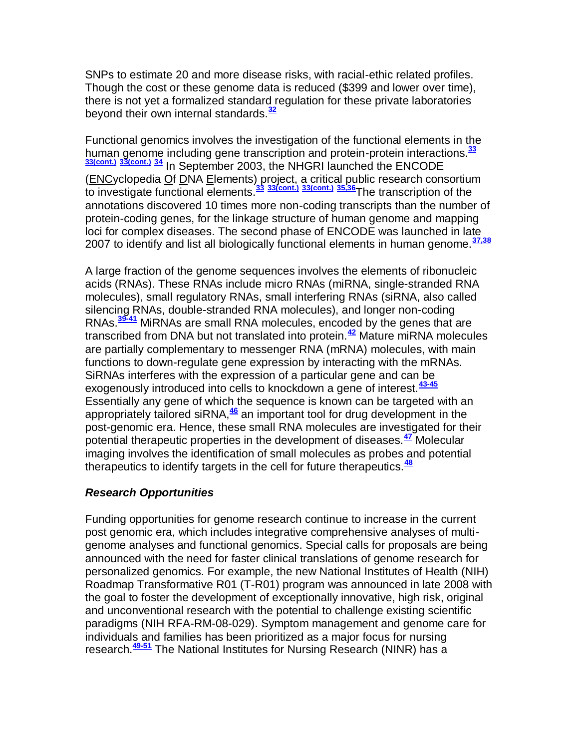SNPs to estimate 20 and more disease risks, with racial-ethic related profiles. Though the cost or these genome data is reduced (\$399 and lower over time), there is not yet a formalized standard regulation for these private laboratories beyond their own internal standards.**[32](http://snrs.org/publications/SOJNR_articles2/n)**

Functional genomics involves the investigation of the functional elements in the human genome including gene transcription and protein-protein interactions.**[33](http://snrs.org/publications/SOJNR_articles2/n) [33\(cont.\)](http://snrs.org/publications/SOJNR_articles2/n) [33\(cont.\)](http://snrs.org/publications/SOJNR_articles2/n) [34](http://snrs.org/publications/SOJNR_articles2/n)** In September 2003, the NHGRI launched the ENCODE (ENCyclopedia Of DNA Elements) project, a critical public research consortium to investigate functional elements.**[33](http://snrs.org/publications/SOJNR_articles2/n) [33\(cont.\)](http://snrs.org/publications/SOJNR_articles2/n) [33\(cont.\)](http://snrs.org/publications/SOJNR_articles2/n) [35,36](http://snrs.org/publications/SOJNR_articles2/n)**The transcription of the annotations discovered 10 times more non-coding transcripts than the number of protein-coding genes, for the linkage structure of human genome and mapping loci for complex diseases. The second phase of ENCODE was launched in late 2007 to identify and list all biologically functional elements in human genome.**[37,38](http://snrs.org/publications/SOJNR_articles2/n)**

A large fraction of the genome sequences involves the elements of ribonucleic acids (RNAs). These RNAs include micro RNAs (miRNA, single-stranded RNA molecules), small regulatory RNAs, small interfering RNAs (siRNA, also called silencing RNAs, double-stranded RNA molecules), and longer non-coding RNAs.**[39-41](http://snrs.org/publications/SOJNR_articles2/n)** MiRNAs are small RNA molecules, encoded by the genes that are transcribed from DNA but not translated into protein.**[42](http://snrs.org/publications/SOJNR_articles2/n)** Mature miRNA molecules are partially complementary to messenger RNA (mRNA) molecules, with main functions to down-regulate gene expression by interacting with the mRNAs. SiRNAs interferes with the expression of a particular gene and can be exogenously introduced into cells to knockdown a gene of interest.**[43-45](http://snrs.org/publications/SOJNR_articles2/n)** Essentially any gene of which the sequence is known can be targeted with an appropriately tailored siRNA,**[46](http://snrs.org/publications/SOJNR_articles2/n)** an important tool for drug development in the post-genomic era. Hence, these small RNA molecules are investigated for their potential therapeutic properties in the development of diseases.**[47](http://snrs.org/publications/SOJNR_articles2/n)** Molecular imaging involves the identification of small molecules as probes and potential therapeutics to identify targets in the cell for future therapeutics.**[48](http://snrs.org/publications/SOJNR_articles2/n)**

#### *Research Opportunities*

Funding opportunities for genome research continue to increase in the current post genomic era, which includes integrative comprehensive analyses of multigenome analyses and functional genomics. Special calls for proposals are being announced with the need for faster clinical translations of genome research for personalized genomics. For example, the new National Institutes of Health (NIH) Roadmap Transformative R01 (T-R01) program was announced in late 2008 with the goal to foster the development of exceptionally innovative, high risk, original and unconventional research with the potential to challenge existing scientific paradigms (NIH RFA-RM-08-029). Symptom management and genome care for individuals and families has been prioritized as a major focus for nursing research.**[49-51](http://snrs.org/publications/SOJNR_articles2/n)** The National Institutes for Nursing Research (NINR) has a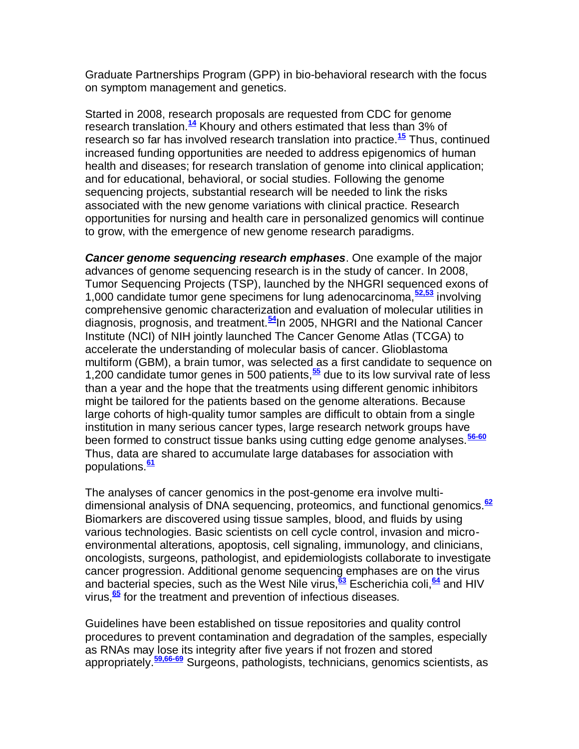Graduate Partnerships Program (GPP) in bio-behavioral research with the focus on symptom management and genetics.

Started in 2008, research proposals are requested from CDC for genome research translation.**[14](http://snrs.org/publications/SOJNR_articles2/n)** Khoury and others estimated that less than 3% of research so far has involved research translation into practice.**[15](http://snrs.org/publications/SOJNR_articles2/n)** Thus, continued increased funding opportunities are needed to address epigenomics of human health and diseases; for research translation of genome into clinical application; and for educational, behavioral, or social studies. Following the genome sequencing projects, substantial research will be needed to link the risks associated with the new genome variations with clinical practice. Research opportunities for nursing and health care in personalized genomics will continue to grow, with the emergence of new genome research paradigms.

*Cancer genome sequencing research emphases*. One example of the major advances of genome sequencing research is in the study of cancer. In 2008, Tumor Sequencing Projects (TSP), launched by the NHGRI sequenced exons of 1,000 candidate tumor gene specimens for lung adenocarcinoma,**[52,53](http://snrs.org/publications/SOJNR_articles2/n)** involving comprehensive genomic characterization and evaluation of molecular utilities in diagnosis, prognosis, and treatment.**[54](http://snrs.org/publications/SOJNR_articles2/n)**In 2005, NHGRI and the National Cancer Institute (NCI) of NIH jointly launched The Cancer Genome Atlas (TCGA) to accelerate the understanding of molecular basis of cancer. Glioblastoma multiform (GBM), a brain tumor, was selected as a first candidate to sequence on 1,200 candidate tumor genes in 500 patients,**[55](http://snrs.org/publications/SOJNR_articles2/n)** due to its low survival rate of less than a year and the hope that the treatments using different genomic inhibitors might be tailored for the patients based on the genome alterations. Because large cohorts of high-quality tumor samples are difficult to obtain from a single institution in many serious cancer types, large research network groups have been formed to construct tissue banks using cutting edge genome analyses.**[56-60](http://snrs.org/publications/SOJNR_articles2/n)** Thus, data are shared to accumulate large databases for association with populations.**[61](http://snrs.org/publications/SOJNR_articles2/n)**

The analyses of cancer genomics in the post-genome era involve multidimensional analysis of DNA sequencing, proteomics, and functional genomics.**[62](http://snrs.org/publications/SOJNR_articles2/n)** Biomarkers are discovered using tissue samples, blood, and fluids by using various technologies. Basic scientists on cell cycle control, invasion and microenvironmental alterations, apoptosis, cell signaling, immunology, and clinicians, oncologists, surgeons, pathologist, and epidemiologists collaborate to investigate cancer progression. Additional genome sequencing emphases are on the virus and bacterial species, such as the West Nile virus,**[63](http://snrs.org/publications/SOJNR_articles2/n)** Escherichia coli,**[64](http://snrs.org/publications/SOJNR_articles2/n)** and HIV virus,**[65](http://snrs.org/publications/SOJNR_articles2/n)** for the treatment and prevention of infectious diseases.

Guidelines have been established on tissue repositories and quality control procedures to prevent contamination and degradation of the samples, especially as RNAs may lose its integrity after five years if not frozen and stored appropriately.**[59,66-69](http://snrs.org/publications/SOJNR_articles2/n)** Surgeons, pathologists, technicians, genomics scientists, as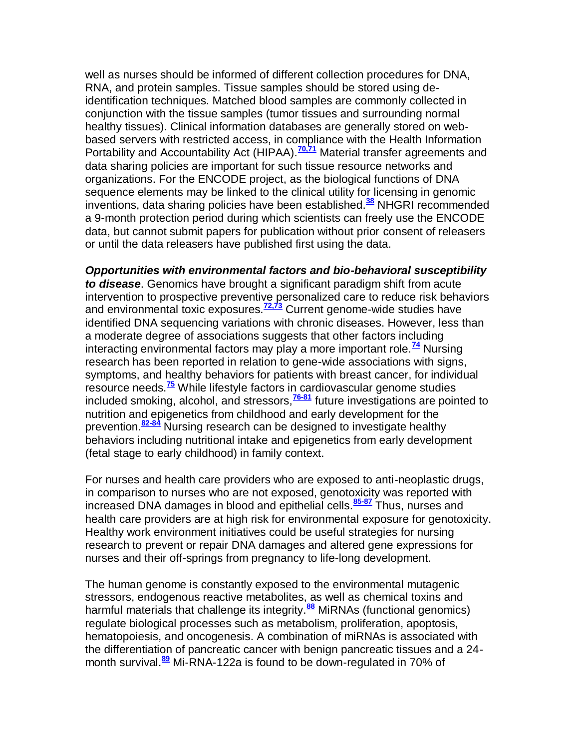well as nurses should be informed of different collection procedures for DNA, RNA, and protein samples. Tissue samples should be stored using deidentification techniques. Matched blood samples are commonly collected in conjunction with the tissue samples (tumor tissues and surrounding normal healthy tissues). Clinical information databases are generally stored on webbased servers with restricted access, in compliance with the Health Information Portability and Accountability Act (HIPAA).**[70,71](http://snrs.org/publications/SOJNR_articles2/n)** Material transfer agreements and data sharing policies are important for such tissue resource networks and organizations. For the ENCODE project, as the biological functions of DNA sequence elements may be linked to the clinical utility for licensing in genomic inventions, data sharing policies have been established.**[38](http://snrs.org/publications/SOJNR_articles2/n)** NHGRI recommended a 9-month protection period during which scientists can freely use the ENCODE data, but cannot submit papers for publication without prior consent of releasers or until the data releasers have published first using the data.

*Opportunities with environmental factors and bio-behavioral susceptibility to disease*. Genomics have brought a significant paradigm shift from acute intervention to prospective preventive personalized care to reduce risk behaviors and environmental toxic exposures.**[72,73](http://snrs.org/publications/SOJNR_articles2/n)** Current genome-wide studies have identified DNA sequencing variations with chronic diseases. However, less than a moderate degree of associations suggests that other factors including interacting environmental factors may play a more important role.**[74](http://snrs.org/publications/SOJNR_articles2/n)** Nursing research has been reported in relation to gene-wide associations with signs, symptoms, and healthy behaviors for patients with breast cancer, for individual resource needs.**[75](http://snrs.org/publications/SOJNR_articles2/n)** While lifestyle factors in cardiovascular genome studies included smoking, alcohol, and stressors,**[76-81](http://snrs.org/publications/SOJNR_articles2/n)** future investigations are pointed to nutrition and epigenetics from childhood and early development for the prevention.**[82-84](http://snrs.org/publications/SOJNR_articles2/n)** Nursing research can be designed to investigate healthy behaviors including nutritional intake and epigenetics from early development (fetal stage to early childhood) in family context.

For nurses and health care providers who are exposed to anti-neoplastic drugs, in comparison to nurses who are not exposed, genotoxicity was reported with increased DNA damages in blood and epithelial cells.**[85-87](http://snrs.org/publications/SOJNR_articles2/n)** Thus, nurses and health care providers are at high risk for environmental exposure for genotoxicity. Healthy work environment initiatives could be useful strategies for nursing research to prevent or repair DNA damages and altered gene expressions for nurses and their off-springs from pregnancy to life-long development.

The human genome is constantly exposed to the environmental mutagenic stressors, endogenous reactive metabolites, as well as chemical toxins and harmful materials that challenge its integrity.**[88](http://snrs.org/publications/SOJNR_articles2/n)** MiRNAs (functional genomics) regulate biological processes such as metabolism, proliferation, apoptosis, hematopoiesis, and oncogenesis. A combination of miRNAs is associated with the differentiation of pancreatic cancer with benign pancreatic tissues and a 24 month survival.**[89](http://snrs.org/publications/SOJNR_articles2/n)** Mi-RNA-122a is found to be down-regulated in 70% of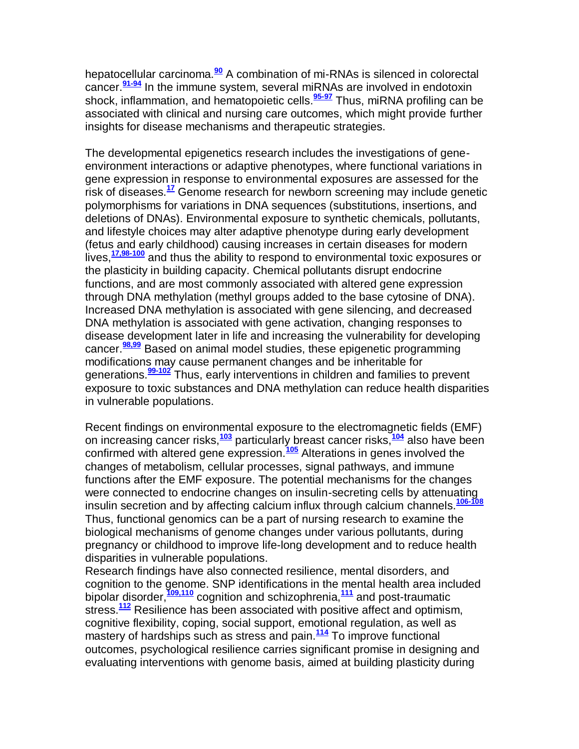hepatocellular carcinoma.**[90](http://snrs.org/publications/SOJNR_articles2/n)** A combination of mi-RNAs is silenced in colorectal cancer.**[91-94](http://snrs.org/publications/SOJNR_articles2/n)** In the immune system, several miRNAs are involved in endotoxin shock, inflammation, and hematopoietic cells.**[95-97](http://snrs.org/publications/SOJNR_articles2/n)** Thus, miRNA profiling can be associated with clinical and nursing care outcomes, which might provide further insights for disease mechanisms and therapeutic strategies.

The developmental epigenetics research includes the investigations of geneenvironment interactions or adaptive phenotypes, where functional variations in gene expression in response to environmental exposures are assessed for the risk of diseases.**[17](http://snrs.org/publications/SOJNR_articles2/n)** Genome research for newborn screening may include genetic polymorphisms for variations in DNA sequences (substitutions, insertions, and deletions of DNAs). Environmental exposure to synthetic chemicals, pollutants, and lifestyle choices may alter adaptive phenotype during early development (fetus and early childhood) causing increases in certain diseases for modern lives,**[17,98-100](http://snrs.org/publications/SOJNR_articles2/n)** and thus the ability to respond to environmental toxic exposures or the plasticity in building capacity. Chemical pollutants disrupt endocrine functions, and are most commonly associated with altered gene expression through DNA methylation (methyl groups added to the base cytosine of DNA). Increased DNA methylation is associated with gene silencing, and decreased DNA methylation is associated with gene activation, changing responses to disease development later in life and increasing the vulnerability for developing cancer.**[98,99](http://snrs.org/publications/SOJNR_articles2/n)** Based on animal model studies, these epigenetic programming modifications may cause permanent changes and be inheritable for generations.**[99-102](http://snrs.org/publications/SOJNR_articles2/n)** Thus, early interventions in children and families to prevent exposure to toxic substances and DNA methylation can reduce health disparities in vulnerable populations.

Recent findings on environmental exposure to the electromagnetic fields (EMF) on increasing cancer risks,**[103](http://snrs.org/publications/SOJNR_articles2/n)** particularly breast cancer risks,**[104](http://snrs.org/publications/SOJNR_articles2/n)** also have been confirmed with altered gene expression.**[105](http://snrs.org/publications/SOJNR_articles2/n)** Alterations in genes involved the changes of metabolism, cellular processes, signal pathways, and immune functions after the EMF exposure. The potential mechanisms for the changes were connected to endocrine changes on insulin-secreting cells by attenuating insulin secretion and by affecting calcium influx through calcium channels.**[106-108](http://snrs.org/publications/SOJNR_articles2/n)** Thus, functional genomics can be a part of nursing research to examine the biological mechanisms of genome changes under various pollutants, during pregnancy or childhood to improve life-long development and to reduce health disparities in vulnerable populations.

Research findings have also connected resilience, mental disorders, and cognition to the genome. SNP identifications in the mental health area included bipolar disorder, **[109,110](http://snrs.org/publications/SOJNR_articles2/n)** cognition and schizophrenia,**[111](http://snrs.org/publications/SOJNR_articles2/n)** and post-traumatic stress.**[112](http://snrs.org/publications/SOJNR_articles2/n)** Resilience has been associated with positive affect and optimism, cognitive flexibility, coping, social support, emotional regulation, as well as mastery of hardships such as stress and pain.**[114](http://snrs.org/publications/SOJNR_articles2/n)** To improve functional outcomes, psychological resilience carries significant promise in designing and evaluating interventions with genome basis, aimed at building plasticity during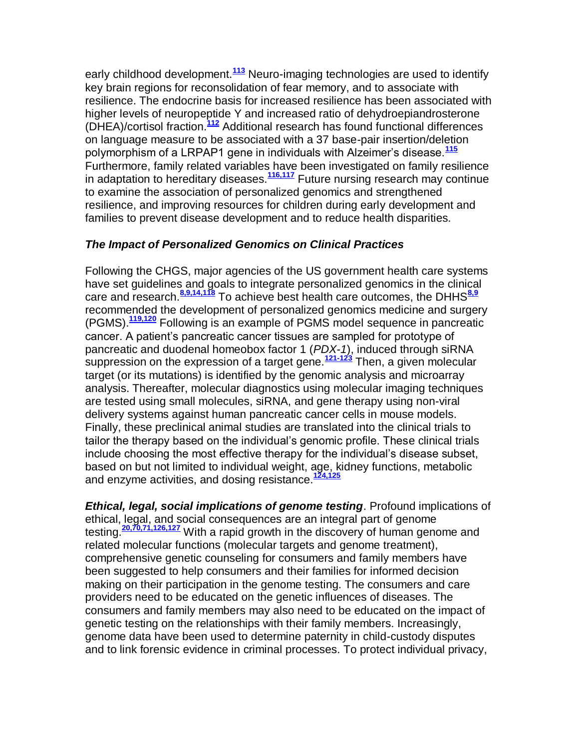early childhood development.**[113](http://snrs.org/publications/SOJNR_articles2/n)** Neuro-imaging technologies are used to identify key brain regions for reconsolidation of fear memory, and to associate with resilience. The endocrine basis for increased resilience has been associated with higher levels of neuropeptide Y and increased ratio of dehydroepiandrosterone (DHEA)/cortisol fraction.**[112](http://snrs.org/publications/SOJNR_articles2/n)** Additional research has found functional differences on language measure to be associated with a 37 base-pair insertion/deletion polymorphism of a LRPAP1 gene in individuals with Alzeimer's disease.**[115](http://snrs.org/publications/SOJNR_articles2/n)** Furthermore, family related variables have been investigated on family resilience in adaptation to hereditary diseases.**[116,117](http://snrs.org/publications/SOJNR_articles2/n)** Future nursing research may continue to examine the association of personalized genomics and strengthened resilience, and improving resources for children during early development and families to prevent disease development and to reduce health disparities.

## *The Impact of Personalized Genomics on Clinical Practices*

Following the CHGS, major agencies of the US government health care systems have set guidelines and goals to integrate personalized genomics in the clinical care and research.**[8,9,14,118](http://snrs.org/publications/SOJNR_articles2/n)** To achieve best health care outcomes, the DHHS**[8,9](http://snrs.org/publications/SOJNR_articles2/n)** recommended the development of personalized genomics medicine and surgery (PGMS).**[119,120](http://snrs.org/publications/SOJNR_articles2/n)** Following is an example of PGMS model sequence in pancreatic cancer. A patient's pancreatic cancer tissues are sampled for prototype of pancreatic and duodenal homeobox factor 1 (*PDX-1*), induced through siRNA suppression on the expression of a target gene.**[121-123](http://snrs.org/publications/SOJNR_articles2/n)** Then, a given molecular target (or its mutations) is identified by the genomic analysis and microarray analysis. Thereafter, molecular diagnostics using molecular imaging techniques are tested using small molecules, siRNA, and gene therapy using non-viral delivery systems against human pancreatic cancer cells in mouse models. Finally, these preclinical animal studies are translated into the clinical trials to tailor the therapy based on the individual's genomic profile. These clinical trials include choosing the most effective therapy for the individual's disease subset, based on but not limited to individual weight, age, kidney functions, metabolic and enzyme activities, and dosing resistance.<sup>12</sup>

*Ethical, legal, social implications of genome testing*. Profound implications of ethical, legal, and social consequences are an integral part of genome testing.**[20,70,71,126,127](http://snrs.org/publications/SOJNR_articles2/n)** With a rapid growth in the discovery of human genome and related molecular functions (molecular targets and genome treatment), comprehensive genetic counseling for consumers and family members have been suggested to help consumers and their families for informed decision making on their participation in the genome testing. The consumers and care providers need to be educated on the genetic influences of diseases. The consumers and family members may also need to be educated on the impact of genetic testing on the relationships with their family members. Increasingly, genome data have been used to determine paternity in child-custody disputes and to link forensic evidence in criminal processes. To protect individual privacy,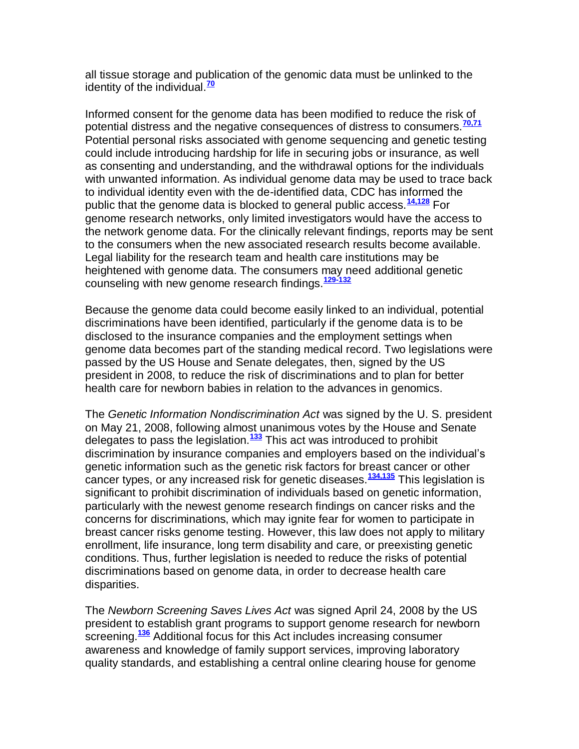all tissue storage and publication of the genomic data must be unlinked to the identity of the individual.**[70](http://snrs.org/publications/SOJNR_articles2/n)**

Informed consent for the genome data has been modified to reduce the risk of potential distress and the negative consequences of distress to consumers.**[70,71](http://snrs.org/publications/SOJNR_articles2/n)** Potential personal risks associated with genome sequencing and genetic testing could include introducing hardship for life in securing jobs or insurance, as well as consenting and understanding, and the withdrawal options for the individuals with unwanted information. As individual genome data may be used to trace back to individual identity even with the de-identified data, CDC has informed the public that the genome data is blocked to general public access.**[14,128](http://snrs.org/publications/SOJNR_articles2/n)** For genome research networks, only limited investigators would have the access to the network genome data. For the clinically relevant findings, reports may be sent to the consumers when the new associated research results become available. Legal liability for the research team and health care institutions may be heightened with genome data. The consumers may need additional genetic counseling with new genome research findings.**[129-132](http://snrs.org/publications/SOJNR_articles2/n)**

Because the genome data could become easily linked to an individual, potential discriminations have been identified, particularly if the genome data is to be disclosed to the insurance companies and the employment settings when genome data becomes part of the standing medical record. Two legislations were passed by the US House and Senate delegates, then, signed by the US president in 2008, to reduce the risk of discriminations and to plan for better health care for newborn babies in relation to the advances in genomics.

The *Genetic Information Nondiscrimination Act* was signed by the U. S. president on May 21, 2008, following almost unanimous votes by the House and Senate delegates to pass the legislation.**[133](http://snrs.org/publications/SOJNR_articles2/n)** This act was introduced to prohibit discrimination by insurance companies and employers based on the individual's genetic information such as the genetic risk factors for breast cancer or other cancer types, or any increased risk for genetic diseases.**[134,135](http://snrs.org/publications/SOJNR_articles2/n)** This legislation is significant to prohibit discrimination of individuals based on genetic information, particularly with the newest genome research findings on cancer risks and the concerns for discriminations, which may ignite fear for women to participate in breast cancer risks genome testing. However, this law does not apply to military enrollment, life insurance, long term disability and care, or preexisting genetic conditions. Thus, further legislation is needed to reduce the risks of potential discriminations based on genome data, in order to decrease health care disparities.

The *Newborn Screening Saves Lives Act* was signed April 24, 2008 by the US president to establish grant programs to support genome research for newborn screening.**[136](http://snrs.org/publications/SOJNR_articles2/n)** Additional focus for this Act includes increasing consumer awareness and knowledge of family support services, improving laboratory quality standards, and establishing a central online clearing house for genome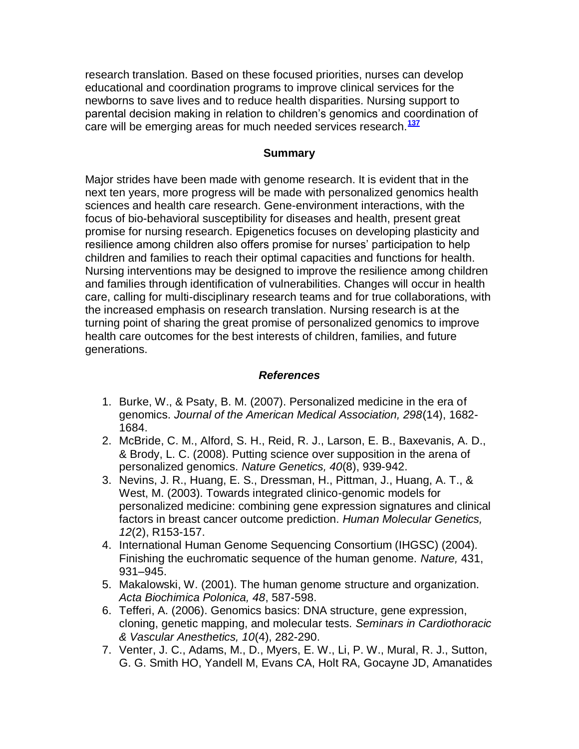research translation. Based on these focused priorities, nurses can develop educational and coordination programs to improve clinical services for the newborns to save lives and to reduce health disparities. Nursing support to parental decision making in relation to children's genomics and coordination of care will be emerging areas for much needed services research.**[137](http://snrs.org/publications/SOJNR_articles2/n)**

#### **Summary**

Major strides have been made with genome research. It is evident that in the next ten years, more progress will be made with personalized genomics health sciences and health care research. Gene-environment interactions, with the focus of bio-behavioral susceptibility for diseases and health, present great promise for nursing research. Epigenetics focuses on developing plasticity and resilience among children also offers promise for nurses' participation to help children and families to reach their optimal capacities and functions for health. Nursing interventions may be designed to improve the resilience among children and families through identification of vulnerabilities. Changes will occur in health care, calling for multi-disciplinary research teams and for true collaborations, with the increased emphasis on research translation. Nursing research is at the turning point of sharing the great promise of personalized genomics to improve health care outcomes for the best interests of children, families, and future generations.

#### *References*

- 1. Burke, W., & Psaty, B. M. (2007). Personalized medicine in the era of genomics. *Journal of the American Medical Association, 298*(14), 1682- 1684.
- 2. McBride, C. M., Alford, S. H., Reid, R. J., Larson, E. B., Baxevanis, A. D., & Brody, L. C. (2008). Putting science over supposition in the arena of personalized genomics. *Nature Genetics, 40*(8), 939-942.
- 3. Nevins, J. R., Huang, E. S., Dressman, H., Pittman, J., Huang, A. T., & West, M. (2003). Towards integrated clinico-genomic models for personalized medicine: combining gene expression signatures and clinical factors in breast cancer outcome prediction. *Human Molecular Genetics, 12*(2), R153-157.
- 4. International Human Genome Sequencing Consortium (IHGSC) (2004). Finishing the euchromatic sequence of the human genome. *Nature,* 431, 931–945.
- 5. Makalowski, W. (2001). The human genome structure and organization. *Acta Biochimica Polonica, 48*, 587-598.
- 6. Tefferi, A. (2006). Genomics basics: DNA structure, gene expression, cloning, genetic mapping, and molecular tests. *Seminars in Cardiothoracic & Vascular Anesthetics, 10*(4), 282-290.
- 7. Venter, J. C., Adams, M., D., Myers, E. W., Li, P. W., Mural, R. J., Sutton, G. G. Smith HO, Yandell M, Evans CA, Holt RA, Gocayne JD, Amanatides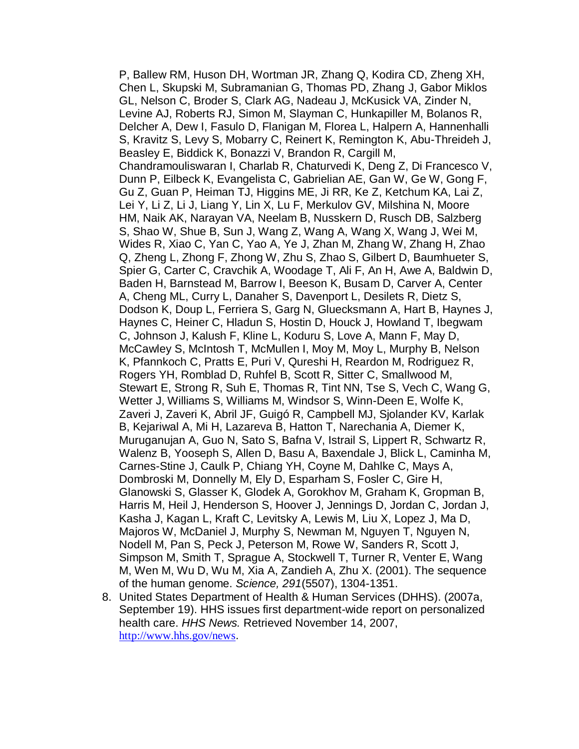P, Ballew RM, Huson DH, Wortman JR, Zhang Q, Kodira CD, Zheng XH, Chen L, Skupski M, Subramanian G, Thomas PD, Zhang J, Gabor Miklos GL, Nelson C, Broder S, Clark AG, Nadeau J, McKusick VA, Zinder N, Levine AJ, Roberts RJ, Simon M, Slayman C, Hunkapiller M, Bolanos R, Delcher A, Dew I, Fasulo D, Flanigan M, Florea L, Halpern A, Hannenhalli S, Kravitz S, Levy S, Mobarry C, Reinert K, Remington K, Abu-Threideh J, Beasley E, Biddick K, Bonazzi V, Brandon R, Cargill M, Chandramouliswaran I, Charlab R, Chaturvedi K, Deng Z, Di Francesco V, Dunn P, Eilbeck K, Evangelista C, Gabrielian AE, Gan W, Ge W, Gong F, Gu Z, Guan P, Heiman TJ, Higgins ME, Ji RR, Ke Z, Ketchum KA, Lai Z, Lei Y, Li Z, Li J, Liang Y, Lin X, Lu F, Merkulov GV, Milshina N, Moore HM, Naik AK, Narayan VA, Neelam B, Nusskern D, Rusch DB, Salzberg S, Shao W, Shue B, Sun J, Wang Z, Wang A, Wang X, Wang J, Wei M, Wides R, Xiao C, Yan C, Yao A, Ye J, Zhan M, Zhang W, Zhang H, Zhao Q, Zheng L, Zhong F, Zhong W, Zhu S, Zhao S, Gilbert D, Baumhueter S, Spier G, Carter C, Cravchik A, Woodage T, Ali F, An H, Awe A, Baldwin D, Baden H, Barnstead M, Barrow I, Beeson K, Busam D, Carver A, Center A, Cheng ML, Curry L, Danaher S, Davenport L, Desilets R, Dietz S, Dodson K, Doup L, Ferriera S, Garg N, Gluecksmann A, Hart B, Haynes J, Haynes C, Heiner C, Hladun S, Hostin D, Houck J, Howland T, Ibegwam C, Johnson J, Kalush F, Kline L, Koduru S, Love A, Mann F, May D, McCawley S, McIntosh T, McMullen I, Moy M, Moy L, Murphy B, Nelson K, Pfannkoch C, Pratts E, Puri V, Qureshi H, Reardon M, Rodriguez R, Rogers YH, Romblad D, Ruhfel B, Scott R, Sitter C, Smallwood M, Stewart E, Strong R, Suh E, Thomas R, Tint NN, Tse S, Vech C, Wang G, Wetter J, Williams S, Williams M, Windsor S, Winn-Deen E, Wolfe K, Zaveri J, Zaveri K, Abril JF, Guigó R, Campbell MJ, Sjolander KV, Karlak B, Kejariwal A, Mi H, Lazareva B, Hatton T, Narechania A, Diemer K, Muruganujan A, Guo N, Sato S, Bafna V, Istrail S, Lippert R, Schwartz R, Walenz B, Yooseph S, Allen D, Basu A, Baxendale J, Blick L, Caminha M, Carnes-Stine J, Caulk P, Chiang YH, Coyne M, Dahlke C, Mays A, Dombroski M, Donnelly M, Ely D, Esparham S, Fosler C, Gire H, Glanowski S, Glasser K, Glodek A, Gorokhov M, Graham K, Gropman B, Harris M, Heil J, Henderson S, Hoover J, Jennings D, Jordan C, Jordan J, Kasha J, Kagan L, Kraft C, Levitsky A, Lewis M, Liu X, Lopez J, Ma D, Majoros W, McDaniel J, Murphy S, Newman M, Nguyen T, Nguyen N, Nodell M, Pan S, Peck J, Peterson M, Rowe W, Sanders R, Scott J, Simpson M, Smith T, Sprague A, Stockwell T, Turner R, Venter E, Wang M, Wen M, Wu D, Wu M, Xia A, Zandieh A, Zhu X. (2001). The sequence of the human genome. *Science, 291*(5507), 1304-1351.

8. United States Department of Health & Human Services (DHHS). (2007a, September 19). HHS issues first department-wide report on personalized health care. *HHS News.* Retrieved November 14, 2007, <http://www.hhs.gov/news>.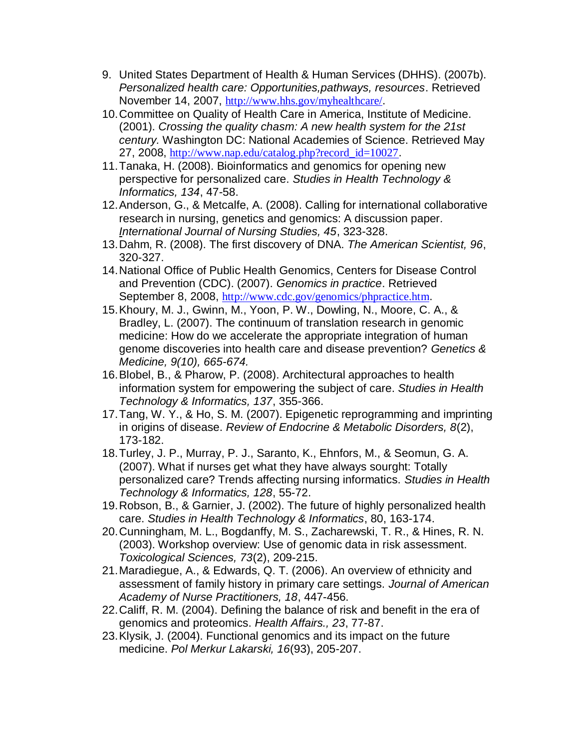- 9. United States Department of Health & Human Services (DHHS). (2007b). *Personalized health care: Opportunities,pathways, resources*. Retrieved November 14, 2007, <http://www.hhs.gov/myhealthcare/>.
- 10.Committee on Quality of Health Care in America, Institute of Medicine. (2001). *Crossing the quality chasm: A new health system for the 21st century.* Washington DC: National Academies of Science. Retrieved May 27, 2008, [http://www.nap.edu/catalog.php?record\\_id=10027](http://www.nap.edu/catalog.php?record_id=10027).
- 11.Tanaka, H. (2008). Bioinformatics and genomics for opening new perspective for personalized care. *Studies in Health Technology & Informatics, 134*, 47-58.
- 12.Anderson, G., & Metcalfe, A. (2008). Calling for international collaborative research in nursing, genetics and genomics: A discussion paper*. International Journal of Nursing Studies, 45*, 323-328.
- 13.Dahm, R. (2008). The first discovery of DNA. *The American Scientist, 96*, 320-327.
- 14.National Office of Public Health Genomics, Centers for Disease Control and Prevention (CDC). (2007). *Genomics in practice*. Retrieved September 8, 2008, <http://www.cdc.gov/genomics/phpractice.htm>.
- 15.Khoury, M. J., Gwinn, M., Yoon, P. W., Dowling, N., Moore, C. A., & Bradley, L. (2007). The continuum of translation research in genomic medicine: How do we accelerate the appropriate integration of human genome discoveries into health care and disease prevention? *Genetics & Medicine, 9(10), 665-674.*
- 16.Blobel, B., & Pharow, P. (2008). Architectural approaches to health information system for empowering the subject of care. *Studies in Health Technology & Informatics, 137*, 355-366.
- 17.Tang, W. Y., & Ho, S. M. (2007). Epigenetic reprogramming and imprinting in origins of disease. *Review of Endocrine & Metabolic Disorders, 8*(2), 173-182.
- 18.Turley, J. P., Murray, P. J., Saranto, K., Ehnfors, M., & Seomun, G. A. (2007). What if nurses get what they have always sourght: Totally personalized care? Trends affecting nursing informatics. *Studies in Health Technology & Informatics, 128*, 55-72.
- 19.Robson, B., & Garnier, J. (2002). The future of highly personalized health care. *Studies in Health Technology & Informatics*, 80, 163-174.
- 20.Cunningham, M. L., Bogdanffy, M. S., Zacharewski, T. R., & Hines, R. N. (2003). Workshop overview: Use of genomic data in risk assessment. *Toxicological Sciences, 73*(2), 209-215.
- 21.Maradiegue, A., & Edwards, Q. T. (2006). An overview of ethnicity and assessment of family history in primary care settings. *Journal of American Academy of Nurse Practitioners, 18*, 447-456.
- 22.Califf, R. M. (2004). Defining the balance of risk and benefit in the era of genomics and proteomics. *Health Affairs., 23*, 77-87.
- 23.Klysik, J. (2004). Functional genomics and its impact on the future medicine. *Pol Merkur Lakarski, 16*(93), 205-207.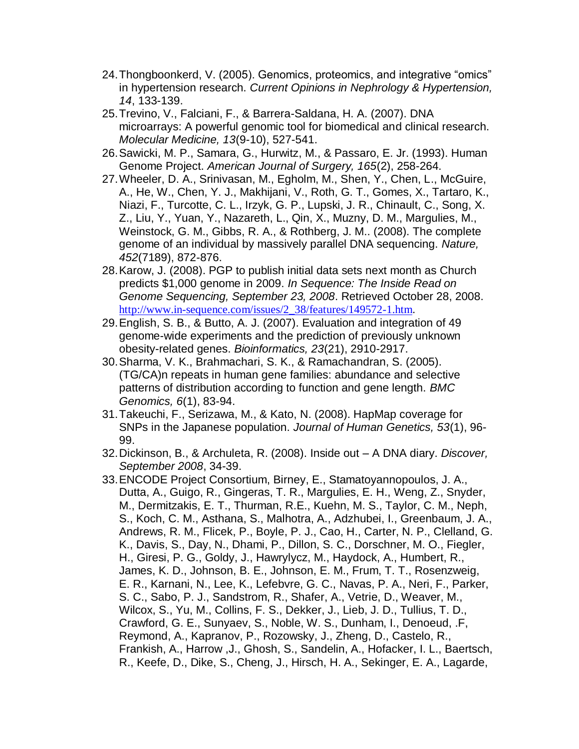- 24.Thongboonkerd, V. (2005). Genomics, proteomics, and integrative "omics" in hypertension research. *Current Opinions in Nephrology & Hypertension, 14*, 133-139.
- 25.Trevino, V., Falciani, F., & Barrera-Saldana, H. A. (2007). DNA microarrays: A powerful genomic tool for biomedical and clinical research. *Molecular Medicine, 13*(9-10), 527-541.
- 26.Sawicki, M. P., Samara, G., Hurwitz, M., & Passaro, E. Jr. (1993). Human Genome Project. *American Journal of Surgery, 165*(2), 258-264.
- 27.Wheeler, D. A., Srinivasan, M., Egholm, M., Shen, Y., Chen, L., McGuire, A., He, W., Chen, Y. J., Makhijani, V., Roth, G. T., Gomes, X., Tartaro, K., Niazi, F., Turcotte, C. L., Irzyk, G. P., Lupski, J. R., Chinault, C., Song, X. Z., Liu, Y., Yuan, Y., Nazareth, L., Qin, X., Muzny, D. M., Margulies, M., Weinstock, G. M., Gibbs, R. A., & Rothberg, J. M.. (2008). The complete genome of an individual by massively parallel DNA sequencing. *Nature, 452*(7189), 872-876.
- 28.Karow, J. (2008). PGP to publish initial data sets next month as Church predicts \$1,000 genome in 2009. *In Sequence: The Inside Read on Genome Sequencing, September 23, 2008*. Retrieved October 28, 2008. [http://www.in-sequence.com/issues/2\\_38/features/149572-1.htm](http://www.in-sequence.com/issues/2_38/features/149572-1.htm).
- 29.English, S. B., & Butto, A. J. (2007). Evaluation and integration of 49 genome-wide experiments and the prediction of previously unknown obesity-related genes. *Bioinformatics, 23*(21), 2910-2917.
- 30.Sharma, V. K., Brahmachari, S. K., & Ramachandran, S. (2005). (TG/CA)n repeats in human gene families: abundance and selective patterns of distribution according to function and gene length. *BMC Genomics, 6*(1), 83-94.
- 31.Takeuchi, F., Serizawa, M., & Kato, N. (2008). HapMap coverage for SNPs in the Japanese population. *Journal of Human Genetics, 53*(1), 96- 99.
- 32.Dickinson, B., & Archuleta, R. (2008). Inside out A DNA diary. *Discover, September 2008*, 34-39.
- 33.ENCODE Project Consortium, Birney, E., Stamatoyannopoulos, J. A., Dutta, A., Guigo, R., Gingeras, T. R., Margulies, E. H., Weng, Z., Snyder, M., Dermitzakis, E. T., Thurman, R.E., Kuehn, M. S., Taylor, C. M., Neph, S., Koch, C. M., Asthana, S., Malhotra, A., Adzhubei, I., Greenbaum, J. A., Andrews, R. M., Flicek, P., Boyle, P. J., Cao, H., Carter, N. P., Clelland, G. K., Davis, S., Day, N., Dhami, P., Dillon, S. C., Dorschner, M. O., Fiegler, H., Giresi, P. G., Goldy, J., Hawrylycz, M., Haydock, A., Humbert, R., James, K. D., Johnson, B. E., Johnson, E. M., Frum, T. T., Rosenzweig, E. R., Karnani, N., Lee, K., Lefebvre, G. C., Navas, P. A., Neri, F., Parker, S. C., Sabo, P. J., Sandstrom, R., Shafer, A., Vetrie, D., Weaver, M., Wilcox, S., Yu, M., Collins, F. S., Dekker, J., Lieb, J. D., Tullius, T. D., Crawford, G. E., Sunyaev, S., Noble, W. S., Dunham, I., Denoeud, .F, Reymond, A., Kapranov, P., Rozowsky, J., Zheng, D., Castelo, R., Frankish, A., Harrow ,J., Ghosh, S., Sandelin, A., Hofacker, I. L., Baertsch, R., Keefe, D., Dike, S., Cheng, J., Hirsch, H. A., Sekinger, E. A., Lagarde,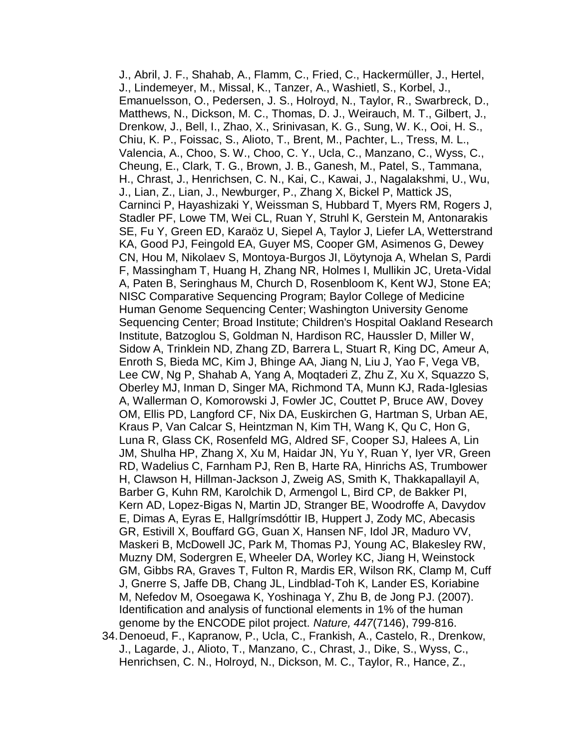J., Abril, J. F., Shahab, A., Flamm, C., Fried, C., Hackermüller, J., Hertel, J., Lindemeyer, M., Missal, K., Tanzer, A., Washietl, S., Korbel, J., Emanuelsson, O., Pedersen, J. S., Holroyd, N., Taylor, R., Swarbreck, D., Matthews, N., Dickson, M. C., Thomas, D. J., Weirauch, M. T., Gilbert, J., Drenkow, J., Bell, I., Zhao, X., Srinivasan, K. G., Sung, W. K., Ooi, H. S., Chiu, K. P., Foissac, S., Alioto, T., Brent, M., Pachter, L., Tress, M. L., Valencia, A., Choo, S. W., Choo, C. Y., Ucla, C., Manzano, C., Wyss, C., Cheung, E., Clark, T. G., Brown, J. B., Ganesh, M., Patel, S., Tammana, H., Chrast, J., Henrichsen, C. N., Kai, C., Kawai, J., Nagalakshmi, U., Wu, J., Lian, Z., Lian, J., Newburger, P., Zhang X, Bickel P, Mattick JS, Carninci P, Hayashizaki Y, Weissman S, Hubbard T, Myers RM, Rogers J, Stadler PF, Lowe TM, Wei CL, Ruan Y, Struhl K, Gerstein M, Antonarakis SE, Fu Y, Green ED, Karaöz U, Siepel A, Taylor J, Liefer LA, Wetterstrand KA, Good PJ, Feingold EA, Guyer MS, Cooper GM, Asimenos G, Dewey CN, Hou M, Nikolaev S, Montoya-Burgos JI, Löytynoja A, Whelan S, Pardi F, Massingham T, Huang H, Zhang NR, Holmes I, Mullikin JC, Ureta-Vidal A, Paten B, Seringhaus M, Church D, Rosenbloom K, Kent WJ, Stone EA; NISC Comparative Sequencing Program; Baylor College of Medicine Human Genome Sequencing Center; Washington University Genome Sequencing Center; Broad Institute; Children's Hospital Oakland Research Institute, Batzoglou S, Goldman N, Hardison RC, Haussler D, Miller W, Sidow A, Trinklein ND, Zhang ZD, Barrera L, Stuart R, King DC, Ameur A, Enroth S, Bieda MC, Kim J, Bhinge AA, Jiang N, Liu J, Yao F, Vega VB, Lee CW, Ng P, Shahab A, Yang A, Moqtaderi Z, Zhu Z, Xu X, Squazzo S, Oberley MJ, Inman D, Singer MA, Richmond TA, Munn KJ, Rada-Iglesias A, Wallerman O, Komorowski J, Fowler JC, Couttet P, Bruce AW, Dovey OM, Ellis PD, Langford CF, Nix DA, Euskirchen G, Hartman S, Urban AE, Kraus P, Van Calcar S, Heintzman N, Kim TH, Wang K, Qu C, Hon G, Luna R, Glass CK, Rosenfeld MG, Aldred SF, Cooper SJ, Halees A, Lin JM, Shulha HP, Zhang X, Xu M, Haidar JN, Yu Y, Ruan Y, Iyer VR, Green RD, Wadelius C, Farnham PJ, Ren B, Harte RA, Hinrichs AS, Trumbower H, Clawson H, Hillman-Jackson J, Zweig AS, Smith K, Thakkapallayil A, Barber G, Kuhn RM, Karolchik D, Armengol L, Bird CP, de Bakker PI, Kern AD, Lopez-Bigas N, Martin JD, Stranger BE, Woodroffe A, Davydov E, Dimas A, Eyras E, Hallgrímsdóttir IB, Huppert J, Zody MC, Abecasis GR, Estivill X, Bouffard GG, Guan X, Hansen NF, Idol JR, Maduro VV, Maskeri B, McDowell JC, Park M, Thomas PJ, Young AC, Blakesley RW, Muzny DM, Sodergren E, Wheeler DA, Worley KC, Jiang H, Weinstock GM, Gibbs RA, Graves T, Fulton R, Mardis ER, Wilson RK, Clamp M, Cuff J, Gnerre S, Jaffe DB, Chang JL, Lindblad-Toh K, Lander ES, Koriabine M, Nefedov M, Osoegawa K, Yoshinaga Y, Zhu B, de Jong PJ. (2007). Identification and analysis of functional elements in 1% of the human genome by the ENCODE pilot project. *Nature, 447*(7146), 799-816. 34.Denoeud, F., Kapranow, P., Ucla, C., Frankish, A., Castelo, R., Drenkow,

J., Lagarde, J., Alioto, T., Manzano, C., Chrast, J., Dike, S., Wyss, C., Henrichsen, C. N., Holroyd, N., Dickson, M. C., Taylor, R., Hance, Z.,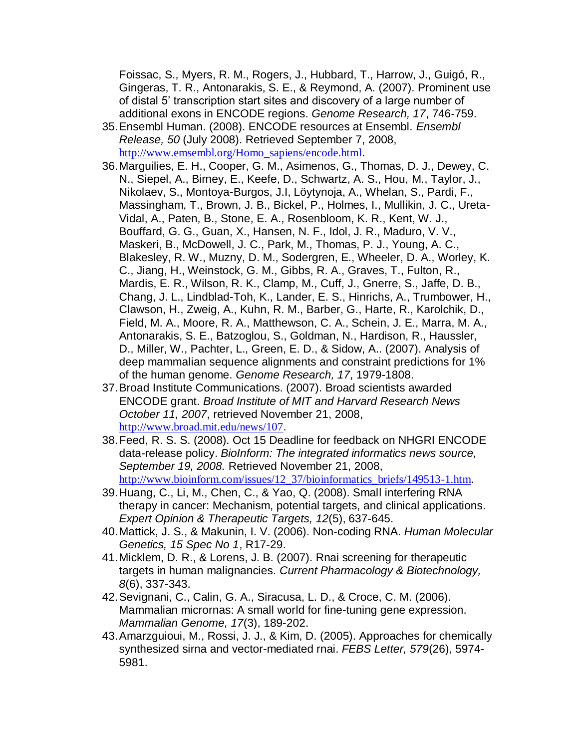Foissac, S., Myers, R. M., Rogers, J., Hubbard, T., Harrow, J., Guigó, R., Gingeras, T. R., Antonarakis, S. E., & Reymond, A. (2007). Prominent use of distal 5' transcription start sites and discovery of a large number of additional exons in ENCODE regions. *Genome Research, 17*, 746-759.

- 35.Ensembl Human. (2008). ENCODE resources at Ensembl. *Ensembl Release, 50* (July 2008). Retrieved September 7, 2008, [http://www.emsembl.org/Homo\\_sapiens/encode.html](http://www.emsembl.org/Homo_sapiens/encode.html).
- 36.Marguilies, E. H., Cooper, G. M., Asimenos, G., Thomas, D. J., Dewey, C. N., Siepel, A., Birney, E., Keefe, D., Schwartz, A. S., Hou, M., Taylor, J., Nikolaev, S., Montoya-Burgos, J.I, Löytynoja, A., Whelan, S., Pardi, F., Massingham, T., Brown, J. B., Bickel, P., Holmes, I., Mullikin, J. C., Ureta-Vidal, A., Paten, B., Stone, E. A., Rosenbloom, K. R., Kent, W. J., Bouffard, G. G., Guan, X., Hansen, N. F., Idol, J. R., Maduro, V. V., Maskeri, B., McDowell, J. C., Park, M., Thomas, P. J., Young, A. C., Blakesley, R. W., Muzny, D. M., Sodergren, E., Wheeler, D. A., Worley, K. C., Jiang, H., Weinstock, G. M., Gibbs, R. A., Graves, T., Fulton, R., Mardis, E. R., Wilson, R. K., Clamp, M., Cuff, J., Gnerre, S., Jaffe, D. B., Chang, J. L., Lindblad-Toh, K., Lander, E. S., Hinrichs, A., Trumbower, H., Clawson, H., Zweig, A., Kuhn, R. M., Barber, G., Harte, R., Karolchik, D., Field, M. A., Moore, R. A., Matthewson, C. A., Schein, J. E., Marra, M. A., Antonarakis, S. E., Batzoglou, S., Goldman, N., Hardison, R., Haussler, D., Miller, W., Pachter, L., Green, E. D., & Sidow, A.. (2007). Analysis of deep mammalian sequence alignments and constraint predictions for 1% of the human genome. *Genome Research, 17*, 1979-1808.
- 37.Broad Institute Communications. (2007). Broad scientists awarded ENCODE grant. *Broad Institute of MIT and Harvard Research News October 11, 2007*, retrieved November 21, 2008, <http://www.broad.mit.edu/news/107>.
- 38.Feed, R. S. S. (2008). Oct 15 Deadline for feedback on NHGRI ENCODE data-release policy. *BioInform: The integrated informatics news source, September 19, 2008.* Retrieved November 21, 2008, [http://www.bioinform.com/issues/12\\_37/bioinformatics\\_briefs/149513-1.htm](http://www.bioinform.com/issues/12_37/bioinformatics_briefs/149513-1.htm).
- 39.Huang, C., Li, M., Chen, C., & Yao, Q. (2008). Small interfering RNA therapy in cancer: Mechanism, potential targets, and clinical applications. *Expert Opinion & Therapeutic Targets, 12*(5), 637-645.
- 40.Mattick, J. S., & Makunin, I. V. (2006). Non-coding RNA. *Human Molecular Genetics, 15 Spec No 1*, R17-29.
- 41.Micklem, D. R., & Lorens, J. B. (2007). Rnai screening for therapeutic targets in human malignancies. *Current Pharmacology & Biotechnology, 8*(6), 337-343.
- 42.Sevignani, C., Calin, G. A., Siracusa, L. D., & Croce, C. M. (2006). Mammalian micrornas: A small world for fine-tuning gene expression. *Mammalian Genome, 17*(3), 189-202.
- 43.Amarzguioui, M., Rossi, J. J., & Kim, D. (2005). Approaches for chemically synthesized sirna and vector-mediated rnai. *FEBS Letter, 579*(26), 5974- 5981.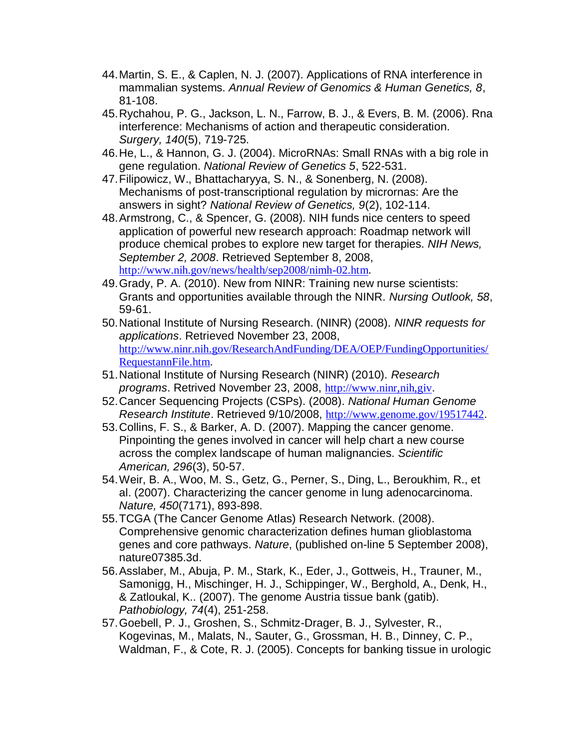- 44.Martin, S. E., & Caplen, N. J. (2007). Applications of RNA interference in mammalian systems. *Annual Review of Genomics & Human Genetics, 8*, 81-108.
- 45.Rychahou, P. G., Jackson, L. N., Farrow, B. J., & Evers, B. M. (2006). Rna interference: Mechanisms of action and therapeutic consideration. *Surgery, 140*(5), 719-725.
- 46.He, L., & Hannon, G. J. (2004). MicroRNAs: Small RNAs with a big role in gene regulation. *National Review of Genetics 5*, 522-531.
- 47.Filipowicz, W., Bhattacharyya, S. N., & Sonenberg, N. (2008). Mechanisms of post-transcriptional regulation by micrornas: Are the answers in sight? *National Review of Genetics, 9*(2), 102-114.
- 48.Armstrong, C., & Spencer, G. (2008). NIH funds nice centers to speed application of powerful new research approach: Roadmap network will produce chemical probes to explore new target for therapies. *NIH News, September 2, 2008*. Retrieved September 8, 2008, <http://www.nih.gov/news/health/sep2008/nimh-02.htm>.
- 49.Grady, P. A. (2010). New from NINR: Training new nurse scientists: Grants and opportunities available through the NINR. *Nursing Outlook, 58*, 59-61.
- 50.National Institute of Nursing Research. (NINR) (2008). *NINR requests for applications*. Retrieved November 23, 2008, [http://www.ninr.nih.gov/ResearchAndFunding/DEA/OEP/FundingOpportunities/](http://www.ninr.nih.gov/ResearchAndFunding/DEA/OEP/FundingOpportunities/RequestannFile.htm) [RequestannFile.htm](http://www.ninr.nih.gov/ResearchAndFunding/DEA/OEP/FundingOpportunities/RequestannFile.htm).
- 51.National Institute of Nursing Research (NINR) (2010). *Research programs*. Retrived November 23, 2008, [http://www.ninr,nih,giv](http://www.ninr,nih,giv/).
- 52.Cancer Sequencing Projects (CSPs). (2008). *National Human Genome Research Institute*. Retrieved 9/10/2008, <http://www.genome.gov/19517442>.
- 53.Collins, F. S., & Barker, A. D. (2007). Mapping the cancer genome. Pinpointing the genes involved in cancer will help chart a new course across the complex landscape of human malignancies. *Scientific American, 296*(3), 50-57.
- 54.Weir, B. A., Woo, M. S., Getz, G., Perner, S., Ding, L., Beroukhim, R., et al. (2007). Characterizing the cancer genome in lung adenocarcinoma. *Nature, 450*(7171), 893-898.
- 55.TCGA (The Cancer Genome Atlas) Research Network. (2008). Comprehensive genomic characterization defines human glioblastoma genes and core pathways. *Nature*, (published on-line 5 September 2008), nature07385.3d.
- 56.Asslaber, M., Abuja, P. M., Stark, K., Eder, J., Gottweis, H., Trauner, M., Samonigg, H., Mischinger, H. J., Schippinger, W., Berghold, A., Denk, H., & Zatloukal, K.. (2007). The genome Austria tissue bank (gatib). *Pathobiology, 74*(4), 251-258.
- 57.Goebell, P. J., Groshen, S., Schmitz-Drager, B. J., Sylvester, R., Kogevinas, M., Malats, N., Sauter, G., Grossman, H. B., Dinney, C. P., Waldman, F., & Cote, R. J. (2005). Concepts for banking tissue in urologic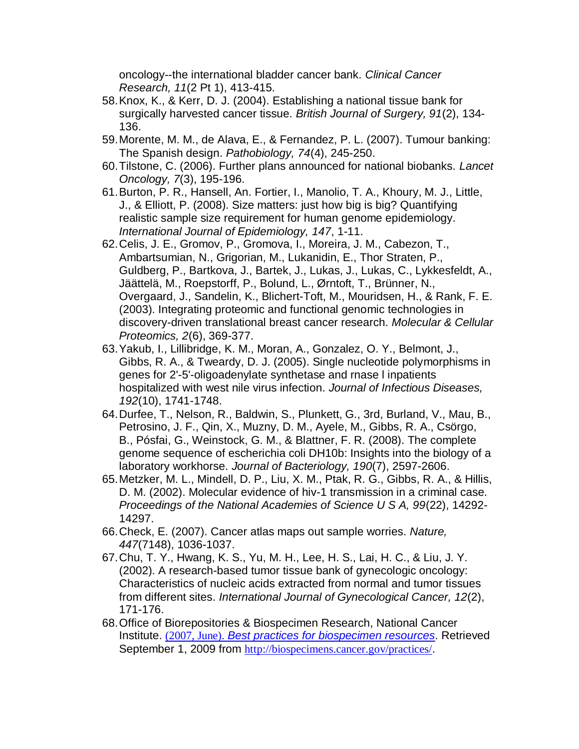oncology--the international bladder cancer bank. *Clinical Cancer Research, 11*(2 Pt 1), 413-415.

- 58.Knox, K., & Kerr, D. J. (2004). Establishing a national tissue bank for surgically harvested cancer tissue. *British Journal of Surgery, 91*(2), 134- 136.
- 59.Morente, M. M., de Alava, E., & Fernandez, P. L. (2007). Tumour banking: The Spanish design. *Pathobiology, 74*(4), 245-250.
- 60.Tilstone, C. (2006). Further plans announced for national biobanks. *Lancet Oncology, 7*(3), 195-196.
- 61.Burton, P. R., Hansell, An. Fortier, I., Manolio, T. A., Khoury, M. J., Little, J., & Elliott, P. (2008). Size matters: just how big is big? Quantifying realistic sample size requirement for human genome epidemiology. *International Journal of Epidemiology, 147*, 1-11.
- 62.Celis, J. E., Gromov, P., Gromova, I., Moreira, J. M., Cabezon, T., Ambartsumian, N., Grigorian, M., Lukanidin, E., Thor Straten, P., Guldberg, P., Bartkova, J., Bartek, J., Lukas, J., Lukas, C., Lykkesfeldt, A., Jäättelä, M., Roepstorff, P., Bolund, L., Ørntoft, T., Brünner, N., Overgaard, J., Sandelin, K., Blichert-Toft, M., Mouridsen, H., & Rank, F. E. (2003). Integrating proteomic and functional genomic technologies in discovery-driven translational breast cancer research. *Molecular & Cellular Proteomics, 2*(6), 369-377.
- 63.Yakub, I., Lillibridge, K. M., Moran, A., Gonzalez, O. Y., Belmont, J., Gibbs, R. A., & Tweardy, D. J. (2005). Single nucleotide polymorphisms in genes for 2'-5'-oligoadenylate synthetase and rnase l inpatients hospitalized with west nile virus infection. *Journal of Infectious Diseases, 192*(10), 1741-1748.
- 64.Durfee, T., Nelson, R., Baldwin, S., Plunkett, G., 3rd, Burland, V., Mau, B., Petrosino, J. F., Qin, X., Muzny, D. M., Ayele, M., Gibbs, R. A., Csörgo, B., Pósfai, G., Weinstock, G. M., & Blattner, F. R. (2008). The complete genome sequence of escherichia coli DH10b: Insights into the biology of a laboratory workhorse. *Journal of Bacteriology, 190*(7), 2597-2606.
- 65.Metzker, M. L., Mindell, D. P., Liu, X. M., Ptak, R. G., Gibbs, R. A., & Hillis, D. M. (2002). Molecular evidence of hiv-1 transmission in a criminal case. *Proceedings of the National Academies of Science U S A, 99*(22), 14292- 14297.
- 66.Check, E. (2007). Cancer atlas maps out sample worries. *Nature, 447*(7148), 1036-1037.
- 67.Chu, T. Y., Hwang, K. S., Yu, M. H., Lee, H. S., Lai, H. C., & Liu, J. Y. (2002). A research-based tumor tissue bank of gynecologic oncology: Characteristics of nucleic acids extracted from normal and tumor tissues from different sites. *International Journal of Gynecological Cancer, 12*(2), 171-176.
- 68.Office of Biorepositories & Biospecimen Research, National Cancer Institute. (2007, June). *[Best practices for biospecimen resources](http://biospecimens.cancer.gov/global/pdfs/NCI_Best_Practices_060507.pdf)*. Retrieved September 1, 2009 from <http://biospecimens.cancer.gov/practices/>.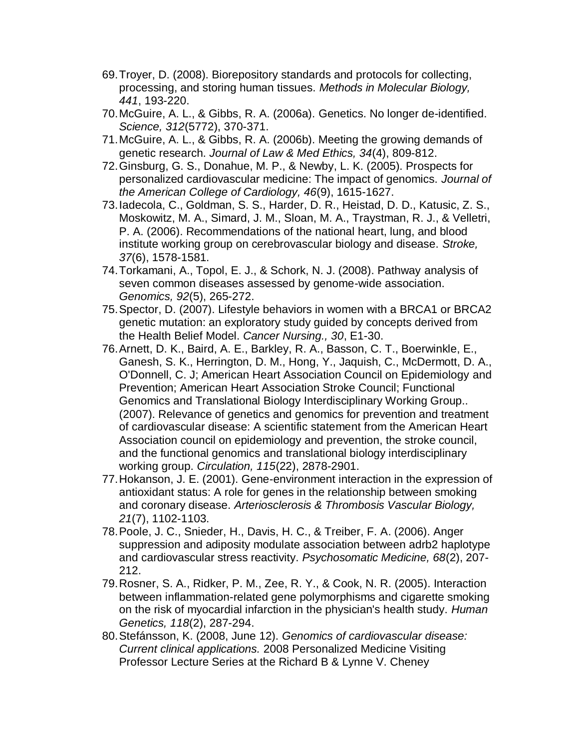- 69.Troyer, D. (2008). Biorepository standards and protocols for collecting, processing, and storing human tissues. *Methods in Molecular Biology, 441*, 193-220.
- 70.McGuire, A. L., & Gibbs, R. A. (2006a). Genetics. No longer de-identified. *Science, 312*(5772), 370-371.
- 71.McGuire, A. L., & Gibbs, R. A. (2006b). Meeting the growing demands of genetic research. *Journal of Law & Med Ethics, 34*(4), 809-812.
- 72.Ginsburg, G. S., Donahue, M. P., & Newby, L. K. (2005). Prospects for personalized cardiovascular medicine: The impact of genomics. *Journal of the American College of Cardiology, 46*(9), 1615-1627.
- 73.Iadecola, C., Goldman, S. S., Harder, D. R., Heistad, D. D., Katusic, Z. S., Moskowitz, M. A., Simard, J. M., Sloan, M. A., Traystman, R. J., & Velletri, P. A. (2006). Recommendations of the national heart, lung, and blood institute working group on cerebrovascular biology and disease. *Stroke, 37*(6), 1578-1581.
- 74.Torkamani, A., Topol, E. J., & Schork, N. J. (2008). Pathway analysis of seven common diseases assessed by genome-wide association. *Genomics, 92*(5), 265-272.
- 75.Spector, D. (2007). Lifestyle behaviors in women with a BRCA1 or BRCA2 genetic mutation: an exploratory study guided by concepts derived from the Health Belief Model. *Cancer Nursing., 30*, E1-30.
- 76.Arnett, D. K., Baird, A. E., Barkley, R. A., Basson, C. T., Boerwinkle, E., Ganesh, S. K., Herrington, D. M., Hong, Y., Jaquish, C., McDermott, D. A., O'Donnell, C. J; American Heart Association Council on Epidemiology and Prevention; American Heart Association Stroke Council; Functional Genomics and Translational Biology Interdisciplinary Working Group.. (2007). Relevance of genetics and genomics for prevention and treatment of cardiovascular disease: A scientific statement from the American Heart Association council on epidemiology and prevention, the stroke council, and the functional genomics and translational biology interdisciplinary working group. *Circulation, 115*(22), 2878-2901.
- 77.Hokanson, J. E. (2001). Gene-environment interaction in the expression of antioxidant status: A role for genes in the relationship between smoking and coronary disease. *Arteriosclerosis & Thrombosis Vascular Biology, 21*(7), 1102-1103.
- 78.Poole, J. C., Snieder, H., Davis, H. C., & Treiber, F. A. (2006). Anger suppression and adiposity modulate association between adrb2 haplotype and cardiovascular stress reactivity. *Psychosomatic Medicine, 68*(2), 207- 212.
- 79.Rosner, S. A., Ridker, P. M., Zee, R. Y., & Cook, N. R. (2005). Interaction between inflammation-related gene polymorphisms and cigarette smoking on the risk of myocardial infarction in the physician's health study. *Human Genetics, 118*(2), 287-294.
- 80.Stefánsson, K. (2008, June 12). *Genomics of cardiovascular disease: Current clinical applications.* 2008 Personalized Medicine Visiting Professor Lecture Series at the Richard B & Lynne V. Cheney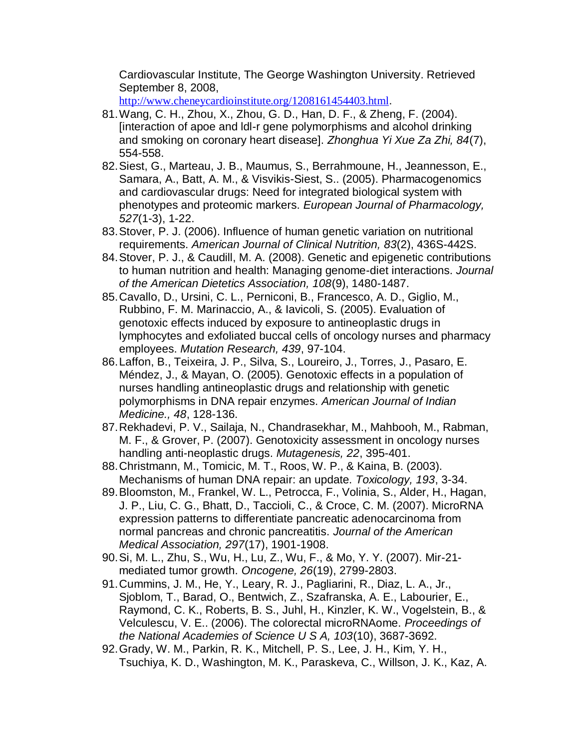Cardiovascular Institute, The George Washington University. Retrieved September 8, 2008,

[http://www.cheneycardioinstitute.org/1208161454403.html](https://exchweb.bcm.tmc.edu/exchweb/bin/redir.asp?URL=http://www.cheneycardioinstitute.org/1208161454403.html).

- 81.Wang, C. H., Zhou, X., Zhou, G. D., Han, D. F., & Zheng, F. (2004). [interaction of apoe and ldl-r gene polymorphisms and alcohol drinking and smoking on coronary heart disease]. *Zhonghua Yi Xue Za Zhi, 84*(7), 554-558.
- 82.Siest, G., Marteau, J. B., Maumus, S., Berrahmoune, H., Jeannesson, E., Samara, A., Batt, A. M., & Visvikis-Siest, S.. (2005). Pharmacogenomics and cardiovascular drugs: Need for integrated biological system with phenotypes and proteomic markers. *European Journal of Pharmacology, 527*(1-3), 1-22.
- 83.Stover, P. J. (2006). Influence of human genetic variation on nutritional requirements. *American Journal of Clinical Nutrition, 83*(2), 436S-442S.
- 84.Stover, P. J., & Caudill, M. A. (2008). Genetic and epigenetic contributions to human nutrition and health: Managing genome-diet interactions. *Journal of the American Dietetics Association, 108*(9), 1480-1487.
- 85.Cavallo, D., Ursini, C. L., Perniconi, B., Francesco, A. D., Giglio, M., Rubbino, F. M. Marinaccio, A., & Iavicoli, S. (2005). Evaluation of genotoxic effects induced by exposure to antineoplastic drugs in lymphocytes and exfoliated buccal cells of oncology nurses and pharmacy employees. *Mutation Research, 439*, 97-104.
- 86.Laffon, B., Teixeira, J. P., Silva, S., Loureiro, J., Torres, J., Pasaro, E. Méndez, J., & Mayan, O. (2005). Genotoxic effects in a population of nurses handling antineoplastic drugs and relationship with genetic polymorphisms in DNA repair enzymes. *American Journal of Indian Medicine., 48*, 128-136.
- 87.Rekhadevi, P. V., Sailaja, N., Chandrasekhar, M., Mahbooh, M., Rabman, M. F., & Grover, P. (2007). Genotoxicity assessment in oncology nurses handling anti-neoplastic drugs. *Mutagenesis, 22*, 395-401.
- 88.Christmann, M., Tomicic, M. T., Roos, W. P., & Kaina, B. (2003). Mechanisms of human DNA repair: an update. *Toxicology, 193*, 3-34.
- 89.Bloomston, M., Frankel, W. L., Petrocca, F., Volinia, S., Alder, H., Hagan, J. P., Liu, C. G., Bhatt, D., Taccioli, C., & Croce, C. M. (2007). MicroRNA expression patterns to differentiate pancreatic adenocarcinoma from normal pancreas and chronic pancreatitis. *Journal of the American Medical Association, 297*(17), 1901-1908.
- 90.Si, M. L., Zhu, S., Wu, H., Lu, Z., Wu, F., & Mo, Y. Y. (2007). Mir-21 mediated tumor growth. *Oncogene, 26*(19), 2799-2803.
- 91.Cummins, J. M., He, Y., Leary, R. J., Pagliarini, R., Diaz, L. A., Jr., Sjoblom, T., Barad, O., Bentwich, Z., Szafranska, A. E., Labourier, E., Raymond, C. K., Roberts, B. S., Juhl, H., Kinzler, K. W., Vogelstein, B., & Velculescu, V. E.. (2006). The colorectal microRNAome. *Proceedings of the National Academies of Science U S A, 103*(10), 3687-3692.
- 92.Grady, W. M., Parkin, R. K., Mitchell, P. S., Lee, J. H., Kim, Y. H., Tsuchiya, K. D., Washington, M. K., Paraskeva, C., Willson, J. K., Kaz, A.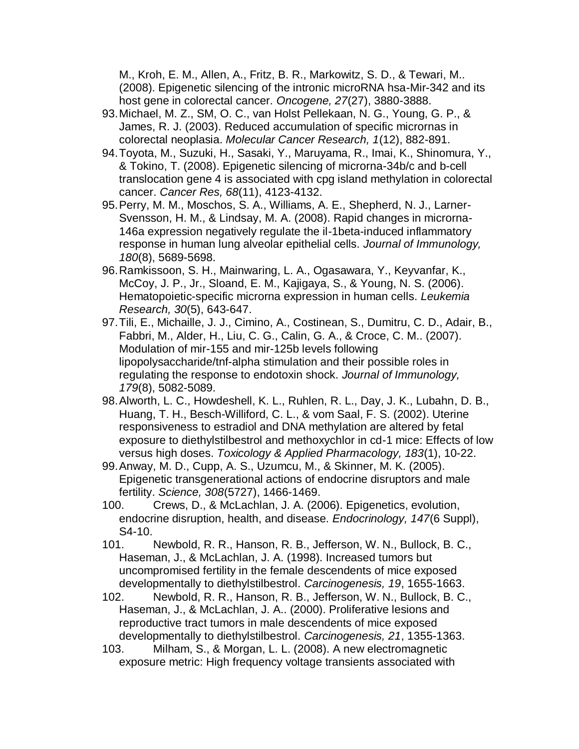M., Kroh, E. M., Allen, A., Fritz, B. R., Markowitz, S. D., & Tewari, M.. (2008). Epigenetic silencing of the intronic microRNA hsa-Mir-342 and its host gene in colorectal cancer. *Oncogene, 27*(27), 3880-3888.

- 93.Michael, M. Z., SM, O. C., van Holst Pellekaan, N. G., Young, G. P., & James, R. J. (2003). Reduced accumulation of specific micrornas in colorectal neoplasia. *Molecular Cancer Research, 1*(12), 882-891.
- 94.Toyota, M., Suzuki, H., Sasaki, Y., Maruyama, R., Imai, K., Shinomura, Y., & Tokino, T. (2008). Epigenetic silencing of microrna-34b/c and b-cell translocation gene 4 is associated with cpg island methylation in colorectal cancer. *Cancer Res, 68*(11), 4123-4132.
- 95.Perry, M. M., Moschos, S. A., Williams, A. E., Shepherd, N. J., Larner-Svensson, H. M., & Lindsay, M. A. (2008). Rapid changes in microrna-146a expression negatively regulate the il-1beta-induced inflammatory response in human lung alveolar epithelial cells. *Journal of Immunology, 180*(8), 5689-5698.
- 96.Ramkissoon, S. H., Mainwaring, L. A., Ogasawara, Y., Keyvanfar, K., McCoy, J. P., Jr., Sloand, E. M., Kajigaya, S., & Young, N. S. (2006). Hematopoietic-specific microrna expression in human cells. *Leukemia Research, 30*(5), 643-647.
- 97.Tili, E., Michaille, J. J., Cimino, A., Costinean, S., Dumitru, C. D., Adair, B., Fabbri, M., Alder, H., Liu, C. G., Calin, G. A., & Croce, C. M.. (2007). Modulation of mir-155 and mir-125b levels following lipopolysaccharide/tnf-alpha stimulation and their possible roles in regulating the response to endotoxin shock. *Journal of Immunology, 179*(8), 5082-5089.
- 98.Alworth, L. C., Howdeshell, K. L., Ruhlen, R. L., Day, J. K., Lubahn, D. B., Huang, T. H., Besch-Williford, C. L., & vom Saal, F. S. (2002). Uterine responsiveness to estradiol and DNA methylation are altered by fetal exposure to diethylstilbestrol and methoxychlor in cd-1 mice: Effects of low versus high doses. *Toxicology & Applied Pharmacology, 183*(1), 10-22.
- 99.Anway, M. D., Cupp, A. S., Uzumcu, M., & Skinner, M. K. (2005). Epigenetic transgenerational actions of endocrine disruptors and male fertility. *Science, 308*(5727), 1466-1469.
- 100. Crews, D., & McLachlan, J. A. (2006). Epigenetics, evolution, endocrine disruption, health, and disease. *Endocrinology, 147*(6 Suppl), S4-10.
- 101. Newbold, R. R., Hanson, R. B., Jefferson, W. N., Bullock, B. C., Haseman, J., & McLachlan, J. A. (1998). Increased tumors but uncompromised fertility in the female descendents of mice exposed developmentally to diethylstilbestrol. *Carcinogenesis, 19*, 1655-1663.
- 102. Newbold, R. R., Hanson, R. B., Jefferson, W. N., Bullock, B. C., Haseman, J., & McLachlan, J. A.. (2000). Proliferative lesions and reproductive tract tumors in male descendents of mice exposed developmentally to diethylstilbestrol. *Carcinogenesis, 21*, 1355-1363.
- 103. Milham, S., & Morgan, L. L. (2008). A new electromagnetic exposure metric: High frequency voltage transients associated with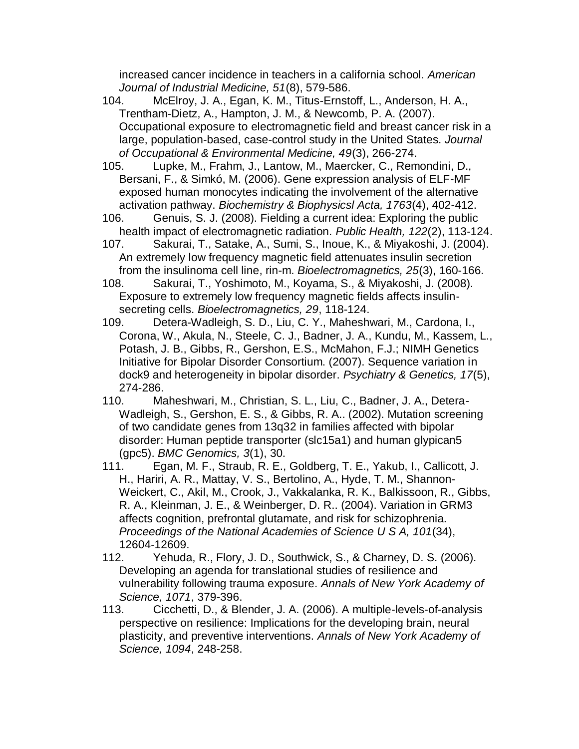increased cancer incidence in teachers in a california school. *American Journal of Industrial Medicine, 51*(8), 579-586.

- 104. McElroy, J. A., Egan, K. M., Titus-Ernstoff, L., Anderson, H. A., Trentham-Dietz, A., Hampton, J. M., & Newcomb, P. A. (2007). Occupational exposure to electromagnetic field and breast cancer risk in a large, population-based, case-control study in the United States. *Journal of Occupational & Environmental Medicine, 49*(3), 266-274.
- 105. Lupke, M., Frahm, J., Lantow, M., Maercker, C., Remondini, D., Bersani, F., & Simkó, M. (2006). Gene expression analysis of ELF-MF exposed human monocytes indicating the involvement of the alternative activation pathway. *Biochemistry & Biophysicsl Acta, 1763*(4), 402-412.
- 106. Genuis, S. J. (2008). Fielding a current idea: Exploring the public health impact of electromagnetic radiation. *Public Health, 122*(2), 113-124.
- 107. Sakurai, T., Satake, A., Sumi, S., Inoue, K., & Miyakoshi, J. (2004). An extremely low frequency magnetic field attenuates insulin secretion from the insulinoma cell line, rin-m. *Bioelectromagnetics, 25*(3), 160-166.
- 108. Sakurai, T., Yoshimoto, M., Koyama, S., & Miyakoshi, J. (2008). Exposure to extremely low frequency magnetic fields affects insulinsecreting cells. *Bioelectromagnetics, 29*, 118-124.
- 109. Detera-Wadleigh, S. D., Liu, C. Y., Maheshwari, M., Cardona, I., Corona, W., Akula, N., Steele, C. J., Badner, J. A., Kundu, M., Kassem, L., Potash, J. B., Gibbs, R., Gershon, E.S., McMahon, F.J.; NIMH Genetics Initiative for Bipolar Disorder Consortium. (2007). Sequence variation in dock9 and heterogeneity in bipolar disorder. *Psychiatry & Genetics, 17*(5), 274-286.
- 110. Maheshwari, M., Christian, S. L., Liu, C., Badner, J. A., Detera-Wadleigh, S., Gershon, E. S., & Gibbs, R. A.. (2002). Mutation screening of two candidate genes from 13q32 in families affected with bipolar disorder: Human peptide transporter (slc15a1) and human glypican5 (gpc5). *BMC Genomics, 3*(1), 30.
- 111. Egan, M. F., Straub, R. E., Goldberg, T. E., Yakub, I., Callicott, J. H., Hariri, A. R., Mattay, V. S., Bertolino, A., Hyde, T. M., Shannon-Weickert, C., Akil, M., Crook, J., Vakkalanka, R. K., Balkissoon, R., Gibbs, R. A., Kleinman, J. E., & Weinberger, D. R.. (2004). Variation in GRM3 affects cognition, prefrontal glutamate, and risk for schizophrenia. *Proceedings of the National Academies of Science U S A, 101*(34), 12604-12609.
- 112. Yehuda, R., Flory, J. D., Southwick, S., & Charney, D. S. (2006). Developing an agenda for translational studies of resilience and vulnerability following trauma exposure. *Annals of New York Academy of Science, 1071*, 379-396.
- 113. Cicchetti, D., & Blender, J. A. (2006). A multiple-levels-of-analysis perspective on resilience: Implications for the developing brain, neural plasticity, and preventive interventions. *Annals of New York Academy of Science, 1094*, 248-258.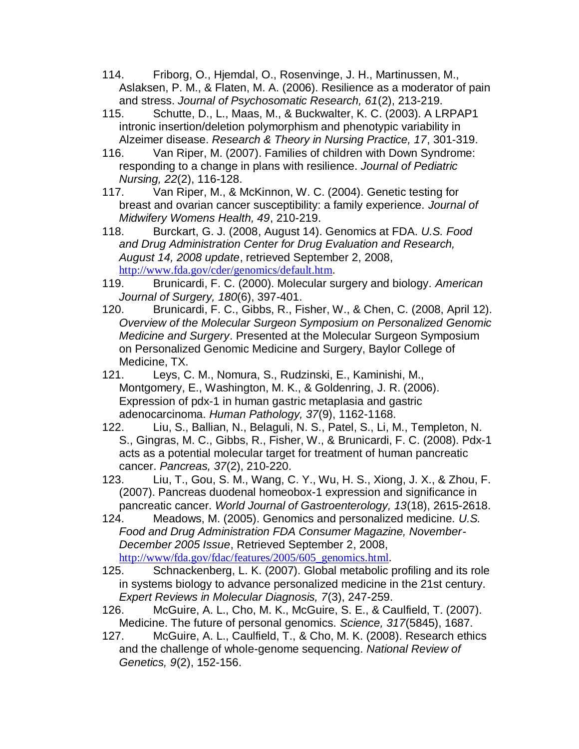- 114. Friborg, O., Hjemdal, O., Rosenvinge, J. H., Martinussen, M., Aslaksen, P. M., & Flaten, M. A. (2006). Resilience as a moderator of pain and stress. *Journal of Psychosomatic Research, 61*(2), 213-219.
- 115. Schutte, D., L., Maas, M., & Buckwalter, K. C. (2003). A LRPAP1 intronic insertion/deletion polymorphism and phenotypic variability in Alzeimer disease. *Research & Theory in Nursing Practice, 17*, 301-319.
- 116. Van Riper, M. (2007). Families of children with Down Syndrome: responding to a change in plans with resilience. *Journal of Pediatric Nursing, 22*(2), 116-128.
- 117. Van Riper, M., & McKinnon, W. C. (2004). Genetic testing for breast and ovarian cancer susceptibility: a family experience. *Journal of Midwifery Womens Health, 49*, 210-219.
- 118. Burckart, G. J. (2008, August 14). Genomics at FDA. *U.S. Food and Drug Administration Center for Drug Evaluation and Research, August 14, 2008 update*, retrieved September 2, 2008, <http://www.fda.gov/cder/genomics/default.htm>.
- 119. Brunicardi, F. C. (2000). Molecular surgery and biology. *American Journal of Surgery, 180*(6), 397-401.
- 120. Brunicardi, F. C., Gibbs, R., Fisher, W., & Chen, C. (2008, April 12). *Overview of the Molecular Surgeon Symposium on Personalized Genomic Medicine and Surgery*. Presented at the Molecular Surgeon Symposium on Personalized Genomic Medicine and Surgery, Baylor College of Medicine, TX.
- 121. Leys, C. M., Nomura, S., Rudzinski, E., Kaminishi, M., Montgomery, E., Washington, M. K., & Goldenring, J. R. (2006). Expression of pdx-1 in human gastric metaplasia and gastric adenocarcinoma. *Human Pathology, 37*(9), 1162-1168.
- 122. Liu, S., Ballian, N., Belaguli, N. S., Patel, S., Li, M., Templeton, N. S., Gingras, M. C., Gibbs, R., Fisher, W., & Brunicardi, F. C. (2008). Pdx-1 acts as a potential molecular target for treatment of human pancreatic cancer. *Pancreas, 37*(2), 210-220.
- 123. Liu, T., Gou, S. M., Wang, C. Y., Wu, H. S., Xiong, J. X., & Zhou, F. (2007). Pancreas duodenal homeobox-1 expression and significance in pancreatic cancer. *World Journal of Gastroenterology, 13*(18), 2615-2618.
- 124. Meadows, M. (2005). Genomics and personalized medicine. *U.S. Food and Drug Administration FDA Consumer Magazine, November-December 2005 Issue*, Retrieved September 2, 2008, [http://www/fda.gov/fdac/features/2005/605\\_genomics.html](http://www/fda.gov/fdac/features/2005/605_genomics.html).
- 125. Schnackenberg, L. K. (2007). Global metabolic profiling and its role in systems biology to advance personalized medicine in the 21st century. *Expert Reviews in Molecular Diagnosis, 7*(3), 247-259.
- 126. McGuire, A. L., Cho, M. K., McGuire, S. E., & Caulfield, T. (2007). Medicine. The future of personal genomics. *Science, 317*(5845), 1687.
- 127. McGuire, A. L., Caulfield, T., & Cho, M. K. (2008). Research ethics and the challenge of whole-genome sequencing. *National Review of Genetics, 9*(2), 152-156.